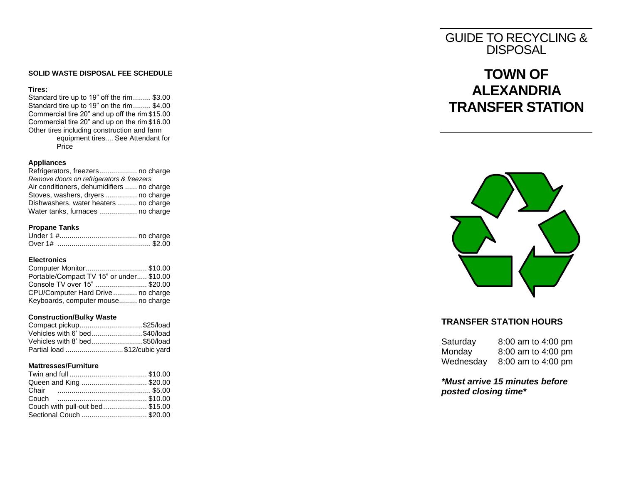### **SOLID WASTE DISPOSAL FEE SCHEDULE**

#### **Tires:**

Standard tire up to 19" off the rim......... \$ 3.00 Standard tire up to 19" on the rim......... \$ 4.00 Commercial tire 20" and up off the rim \$1 5.00 Commercial tire 20" and up on the rim \$1 6.00 Other tires including construction and farm equipment tires.... See Attendant for Price

### **Appliances**

Refrigerators, freezer s................... no charge *Remove doors on refrigerators & freezers* Air conditioners, dehumidifiers ...... no charge Stoves, washers, dryers ................ no charge Dishwashers, water heaters .......... no charge Water tanks, furnaces ................... no charge

### **Propane Tanks**

### **Electronics**

| Computer Monitor\$10.00                  |  |
|------------------------------------------|--|
| Portable/Compact TV 15" or under \$10.00 |  |
| Console TV over 15" \$20.00              |  |
| CPU/Computer Hard Drive no charge        |  |
| Keyboards, computer mouse no charge      |  |

### **Construction/Bulky Waste**

| Compact pickup\$25/load       |  |
|-------------------------------|--|
| Vehicles with 6' bed\$40/load |  |
| Vehicles with 8' bed\$50/load |  |
| Partial load \$12/cubic yard  |  |

#### **Mattresses /Furniture**

| Queen and King \$20.00         |  |
|--------------------------------|--|
|                                |  |
|                                |  |
| Couch with pull-out bed\$15.00 |  |
|                                |  |

## GUIDE TO RECYCLING & **DISPOSAL**

# **TOWN OF ALEXANDRIA TRANSFER STATION**



### **TRANSFER STATION HOURS**

| Saturday  | 8:00 am to 4:00 pm |
|-----------|--------------------|
| Monday    | 8:00 am to 4:00 pm |
| Wednesday | 8:00 am to 4:00 pm |

*\*Must arrive 15 minutes before posted cl osing time \**